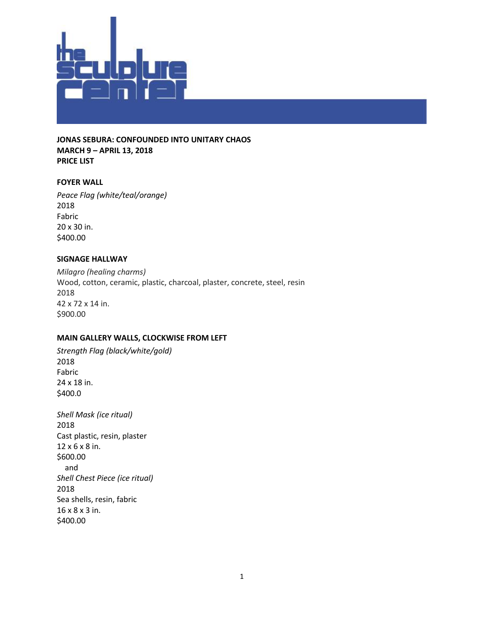

**JONAS SEBURA: CONFOUNDED INTO UNITARY CHAOS MARCH 9 – APRIL 13, 2018 PRICE LIST**

## **FOYER WALL**

*Peace Flag (white/teal/orange)* 2018 Fabric 20 x 30 in. \$400.00

## **SIGNAGE HALLWAY**

*Milagro (healing charms)* Wood, cotton, ceramic, plastic, charcoal, plaster, concrete, steel, resin 2018 42 x 72 x 14 in. \$900.00

## **MAIN GALLERY WALLS, CLOCKWISE FROM LEFT**

*Strength Flag (black/white/gold)* 2018 Fabric 24 x 18 in. \$400.0

*Shell Mask (ice ritual)* 2018 Cast plastic, resin, plaster 12 x 6 x 8 in. \$600.00 and *Shell Chest Piece (ice ritual)* 2018 Sea shells, resin, fabric 16 x 8 x 3 in. \$400.00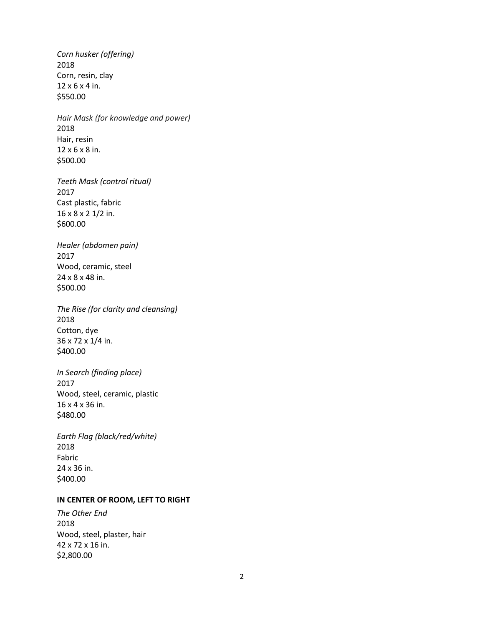*Corn husker (offering)* 2018 Corn, resin, clay 12 x 6 x 4 in. \$550.00

*Hair Mask (for knowledge and power)* 2018 Hair, resin 12 x 6 x 8 in. \$500.00

*Teeth Mask (control ritual)* 2017 Cast plastic, fabric 16 x 8 x 2 1/2 in. \$600.00

*Healer (abdomen pain)* 2017 Wood, ceramic, steel 24 x 8 x 48 in. \$500.00

*The Rise (for clarity and cleansing)* 2018 Cotton, dye 36 x 72 x 1/4 in. \$400.00

*In Search (finding place)* 2017 Wood, steel, ceramic, plastic 16 x 4 x 36 in. \$480.00

*Earth Flag (black/red/white)* 2018 Fabric 24 x 36 in. \$400.00

## **IN CENTER OF ROOM, LEFT TO RIGHT**

*The Other End* 2018 Wood, steel, plaster, hair 42 x 72 x 16 in. \$2,800.00